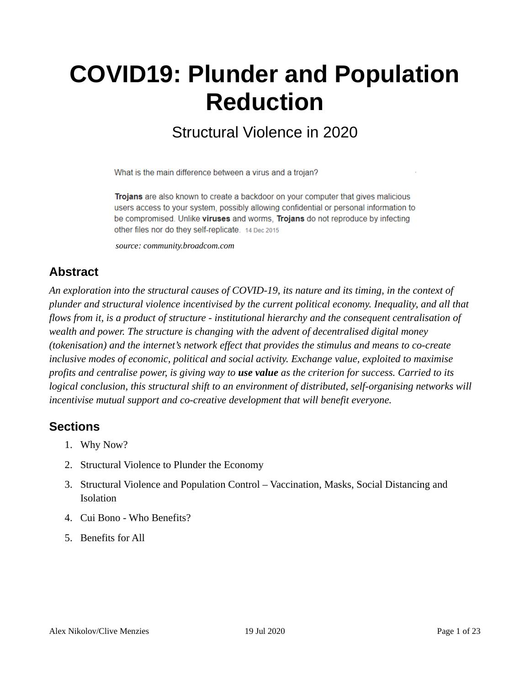# **COVID19: Plunder and Population Reduction**

## Structural Violence in 2020

What is the main difference between a virus and a trojan?

Trojans are also known to create a backdoor on your computer that gives malicious users access to your system, possibly allowing confidential or personal information to be compromised. Unlike viruses and worms, Trojans do not reproduce by infecting other files nor do they self-replicate. 14 Dec 2015

*source: community.broadcom.com*

#### **Abstract**

*An exploration into the structural causes of COVID-19, its nature and its timing, in the context of plunder and structural violence incentivised by the current political economy. Inequality, and all that flows from it, is a product of structure - institutional hierarchy and the consequent centralisation of wealth and power. The structure is changing with the advent of decentralised digital money (tokenisation) and the internet's network effect that provides the stimulus and means to co-create inclusive modes of economic, political and social activity. Exchange value, exploited to maximise profits and centralise power, is giving way to use value as the criterion for success. Carried to its logical conclusion, this structural shift to an environment of distributed, self-organising networks will incentivise mutual support and co-creative development that will benefit everyone.*

#### **Sections**

- 1. Why Now?
- 2. Structural Violence to Plunder the Economy
- 3. Structural Violence and Population Control Vaccination, Masks, Social Distancing and Isolation
- 4. Cui Bono Who Benefits?
- 5. Benefits for All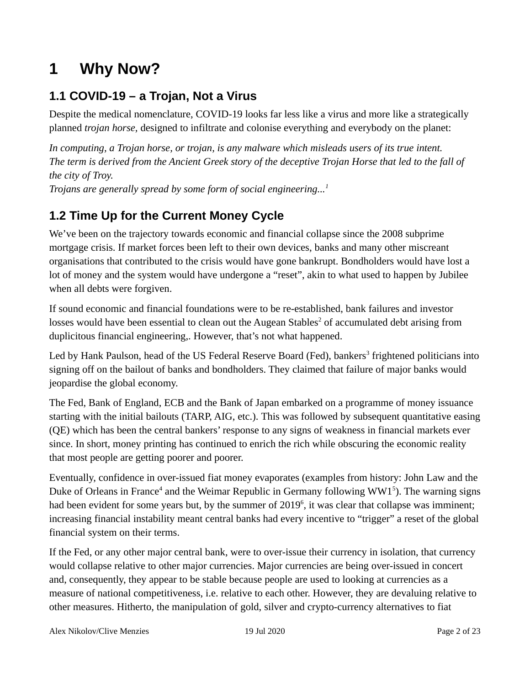# **1 Why Now?**

#### **1.1 COVID-19 – a Trojan, Not a Virus**

Despite the medical nomenclature, COVID-19 looks far less like a virus and more like a strategically planned *trojan horse,* designed to infiltrate and colonise everything and everybody on the planet:

*In computing, a Trojan horse, or trojan, is any malware which misleads users of its true intent. The term is derived from the Ancient Greek story of the deceptive Trojan Horse that led to the fall of the city of Troy.*

*Trojans are generally spread by some form of social engineering...<sup>1</sup>*

#### **1.2 Time Up for the Current Money Cycle**

We've been on the trajectory towards economic and financial collapse since the 2008 subprime mortgage crisis. If market forces been left to their own devices, banks and many other miscreant organisations that contributed to the crisis would have gone bankrupt. Bondholders would have lost a lot of money and the system would have undergone a "reset", akin to what used to happen by Jubilee when all debts were forgiven.

If sound economic and financial foundations were to be re-established, bank failures and investor losses would have been essential to clean out the Augean Stables<sup>2</sup> of accumulated debt arising from duplicitous financial engineering,. However, that's not what happened.

Led by Hank Paulson, head of the US Federal Reserve Board (Fed), bankers<sup>3</sup> frightened politicians into signing off on the bailout of banks and bondholders. They claimed that failure of major banks would jeopardise the global economy.

The Fed, Bank of England, ECB and the Bank of Japan embarked on a programme of money issuance starting with the initial bailouts (TARP, AIG, etc.). This was followed by subsequent quantitative easing (QE) which has been the central bankers' response to any signs of weakness in financial markets ever since. In short, money printing has continued to enrich the rich while obscuring the economic reality that most people are getting poorer and poorer.

Eventually, confidence in over-issued fiat money evaporates (examples from history: John Law and the Duke of Orleans in France<sup>4</sup> and the Weimar Republic in Germany following WW1<sup>5</sup>). The warning signs had been evident for some years but, by the summer of 2019<sup>6</sup>, it was clear that collapse was imminent; increasing financial instability meant central banks had every incentive to "trigger" a reset of the global financial system on their terms.

If the Fed, or any other major central bank, were to over-issue their currency in isolation, that currency would collapse relative to other major currencies. Major currencies are being over-issued in concert and, consequently, they appear to be stable because people are used to looking at currencies as a measure of national competitiveness, i.e. relative to each other. However, they are devaluing relative to other measures. Hitherto, the manipulation of gold, silver and crypto-currency alternatives to fiat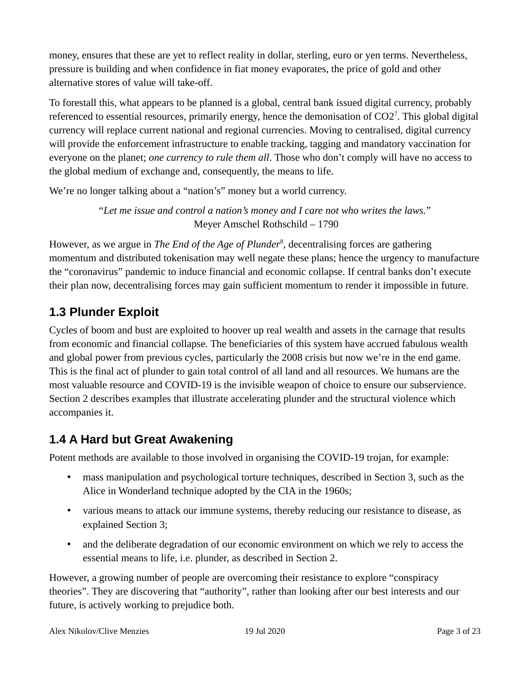money, ensures that these are yet to reflect reality in dollar, sterling, euro or yen terms. Nevertheless, pressure is building and when confidence in fiat money evaporates, the price of gold and other alternative stores of value will take-off.

To forestall this, what appears to be planned is a global, central bank issued digital currency, probably referenced to essential resources, primarily energy, hence the demonisation of  $CO2^7$ . This global digital currency will replace current national and regional currencies. Moving to centralised, digital currency will provide the enforcement infrastructure to enable tracking, tagging and mandatory vaccination for everyone on the planet; *one currency to rule them all*. Those who don't comply will have no access to the global medium of exchange and, consequently, the means to life.

We're no longer talking about a "nation's" money but a world currency.

"*Let me issue and control a nation's money and I care not who writes the laws.*" Meyer Amschel Rothschild – 1790

However, as we argue in *The End of the Age of Plunder*<sup>8</sup> , decentralising forces are gathering momentum and distributed tokenisation may well negate these plans; hence the urgency to manufacture the "coronavirus" pandemic to induce financial and economic collapse. If central banks don't execute their plan now, decentralising forces may gain sufficient momentum to render it impossible in future.

## **1.3 Plunder Exploit**

Cycles of boom and bust are exploited to hoover up real wealth and assets in the carnage that results from economic and financial collapse. The beneficiaries of this system have accrued fabulous wealth and global power from previous cycles, particularly the 2008 crisis but now we're in the end game. This is the final act of plunder to gain total control of all land and all resources. We humans are the most valuable resource and COVID-19 is the invisible weapon of choice to ensure our subservience. Section 2 describes examples that illustrate accelerating plunder and the structural violence which accompanies it.

## **1.4 A Hard but Great Awakening**

Potent methods are available to those involved in organising the COVID-19 trojan, for example:

- mass manipulation and psychological torture techniques, described in Section 3, such as the Alice in Wonderland technique adopted by the CIA in the 1960s;
- various means to attack our immune systems, thereby reducing our resistance to disease, as explained Section 3;
- and the deliberate degradation of our economic environment on which we rely to access the essential means to life, i.e. plunder, as described in Section 2.

However, a growing number of people are overcoming their resistance to explore "conspiracy theories". They are discovering that "authority", rather than looking after our best interests and our future, is actively working to prejudice both.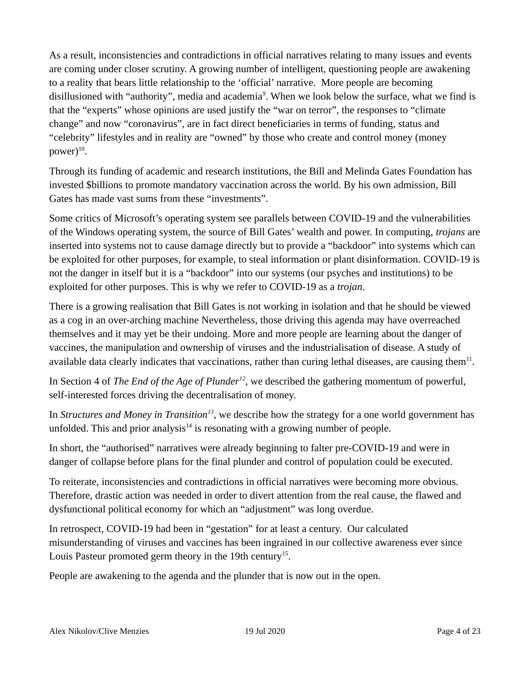As a result, inconsistencies and contradictions in official narratives relating to many issues and events are coming under closer scrutiny. A growing number of intelligent, questioning people are awakening to a reality that bears little relationship to the 'official' narrative. More people are becoming disillusioned with "authority", media and academia<sup>9</sup>. When we look below the surface, what we find is that the "experts" whose opinions are used justify the "war on terror", the responses to "climate change" and now "coronavirus", are in fact direct beneficiaries in terms of funding, status and "celebrity" lifestyles and in reality are "owned" by those who create and control money (money  $power)^{10}.$ 

Through its funding of academic and research institutions, the Bill and Melinda Gates Foundation has invested \$billions to promote mandatory vaccination across the world. By his own admission, Bill Gates has made vast sums from these "investments".

Some critics of Microsoft's operating system see parallels between COVID-19 and the vulnerabilities of the Windows operating system, the source of Bill Gates' wealth and power. In computing, *trojans* are inserted into systems not to cause damage directly but to provide a "backdoor" into systems which can be exploited for other purposes, for example, to steal information or plant disinformation. COVID-19 is not the danger in itself but it is a "backdoor" into our systems (our psyches and institutions) to be exploited for other purposes. This is why we refer to COVID-19 as a *trojan*.

There is a growing realisation that Bill Gates is not working in isolation and that he should be viewed as a cog in an over-arching machine Nevertheless, those driving this agenda may have overreached themselves and it may yet be their undoing. More and more people are learning about the danger of vaccines, the manipulation and ownership of viruses and the industrialisation of disease. A study of available data clearly indicates that vaccinations, rather than curing lethal diseases, are causing them $^{11}$ .

In Section 4 of *The End of the Age of Plunder<sup>12</sup>*, we described the gathering momentum of powerful, self-interested forces driving the decentralisation of money.

In *Structures and Money in Transition<sup>13</sup>*, we describe how the strategy for a one world government has unfolded. This and prior analysis $14$  is resonating with a growing number of people.

In short, the "authorised" narratives were already beginning to falter pre-COVID-19 and were in danger of collapse before plans for the final plunder and control of population could be executed.

To reiterate, inconsistencies and contradictions in official narratives were becoming more obvious. Therefore, drastic action was needed in order to divert attention from the real cause, the flawed and dysfunctional political economy for which an "adjustment" was long overdue.

In retrospect, COVID-19 had been in "gestation" for at least a century. Our calculated misunderstanding of viruses and vaccines has been ingrained in our collective awareness ever since Louis Pasteur promoted germ theory in the 19th century<sup>15</sup>.

People are awakening to the agenda and the plunder that is now out in the open.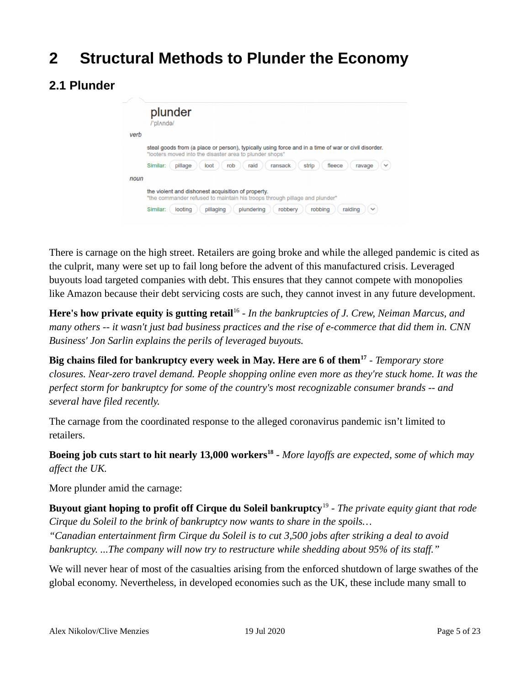## **2 Structural Methods to Plunder the Economy**

#### **2.1 Plunder**

|      | plunder<br>/'pl^nda/                                                                                                                                           |
|------|----------------------------------------------------------------------------------------------------------------------------------------------------------------|
| verb |                                                                                                                                                                |
|      | steal goods from (a place or person), typically using force and in a time of war or civil disorder.<br>"looters moved into the disaster area to plunder shops" |
|      | Similar:<br>pillage<br>raid<br>rob<br>ransack<br>strip<br>fleece<br>loot<br>ravage<br>$\checkmark$                                                             |
| noun |                                                                                                                                                                |
|      | the violent and dishonest acquisition of property.<br>"the commander refused to maintain his troops through pillage and plunder"                               |
|      | looting<br>plundering<br>robbery<br>robbing<br>raiding<br>Similar:<br>pillaging<br>$\checkmark$                                                                |

There is carnage on the high street. Retailers are going broke and while the alleged pandemic is cited as the culprit, many were set up to fail long before the advent of this manufactured crisis. Leveraged buyouts load targeted companies with debt. This ensures that they cannot compete with monopolies like Amazon because their debt servicing costs are such, they cannot invest in any future development.

Here's how private equity is gutting retail<sup>16</sup> - In the bankruptcies of J. Crew, Neiman Marcus, and *many others -- it wasn't just bad business practices and the rise of e-commerce that did them in. CNN Business' Jon Sarlin explains the perils of leveraged buyouts.*

**Big chains filed for bankruptcy every week in May. Here are 6 of them<sup>17</sup>** *- Temporary store closures. Near-zero travel demand. People shopping online even more as they're stuck home. It was the perfect storm for bankruptcy for some of the country's most recognizable consumer brands -- and several have filed recently.*

The carnage from the coordinated response to the alleged coronavirus pandemic isn't limited to retailers.

**Boeing job cuts start to hit nearly 13,000 workers<sup>18</sup>** - *More layoffs are expected, some of which may affect the UK.*

More plunder amid the carnage:

**Buyout giant hoping to profit off Cirque du Soleil bankruptcy**<sup>19</sup> - *The private equity giant that rode Cirque du Soleil to the brink of bankruptcy now wants to share in the spoils…*

*"Canadian entertainment firm Cirque du Soleil is to cut 3,500 jobs after striking a deal to avoid bankruptcy. ...The company will now try to restructure while shedding about 95% of its staff."*

We will never hear of most of the casualties arising from the enforced shutdown of large swathes of the global economy. Nevertheless, in developed economies such as the UK, these include many small to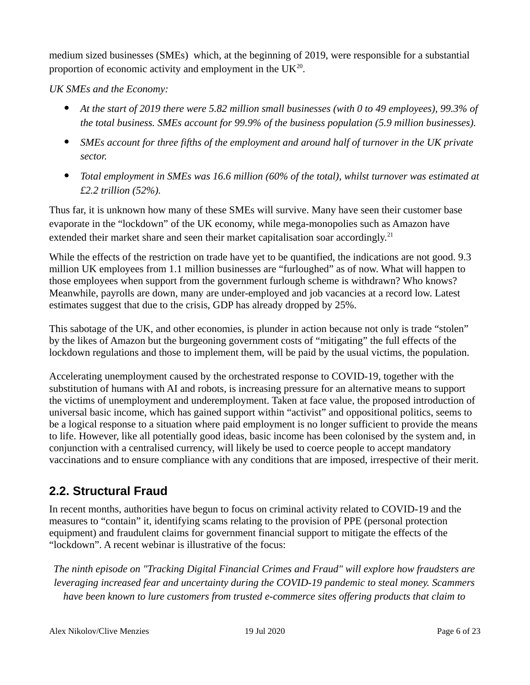medium sized businesses (SMEs) which, at the beginning of 2019, were responsible for a substantial proportion of economic activity and employment in the  $UK^{20}$ .

*UK SMEs and the Economy:*

- *At the start of 2019 there were 5.82 million small businesses (with 0 to 49 employees), 99.3% of the total business. SMEs account for 99.9% of the business population (5.9 million businesses).*
- *SMEs account for three fifths of the employment and around half of turnover in the UK private sector.*
- *Total employment in SMEs was 16.6 million (60% of the total), whilst turnover was estimated at £2.2 trillion (52%).*

Thus far, it is unknown how many of these SMEs will survive. Many have seen their customer base evaporate in the "lockdown" of the UK economy, while mega-monopolies such as Amazon have extended their market share and seen their market capitalisation soar accordingly.<sup>21</sup>

While the effects of the restriction on trade have yet to be quantified, the indications are not good. 9.3 million UK employees from 1.1 million businesses are "furloughed" as of now. What will happen to those employees when support from the government furlough scheme is withdrawn? Who knows? Meanwhile, payrolls are down, many are under-employed and job vacancies at a record low. Latest estimates suggest that due to the crisis, GDP has already dropped by 25%.

This sabotage of the UK, and other economies, is plunder in action because not only is trade "stolen" by the likes of Amazon but the burgeoning government costs of "mitigating" the full effects of the lockdown regulations and those to implement them, will be paid by the usual victims, the population.

Accelerating unemployment caused by the orchestrated response to COVID-19, together with the substitution of humans with AI and robots, is increasing pressure for an alternative means to support the victims of unemployment and underemployment. Taken at face value, the proposed introduction of universal basic income, which has gained support within "activist" and oppositional politics, seems to be a logical response to a situation where paid employment is no longer sufficient to provide the means to life. However, like all potentially good ideas, basic income has been colonised by the system and, in conjunction with a centralised currency, will likely be used to coerce people to accept mandatory vaccinations and to ensure compliance with any conditions that are imposed, irrespective of their merit.

#### **2.2. Structural Fraud**

In recent months, authorities have begun to focus on criminal activity related to COVID-19 and the measures to "contain" it, identifying scams relating to the provision of PPE (personal protection equipment) and fraudulent claims for government financial support to mitigate the effects of the "lockdown". A recent webinar is illustrative of the focus:

*The ninth episode on "Tracking Digital Financial Crimes and Fraud" will explore how fraudsters are leveraging increased fear and uncertainty during the COVID-19 pandemic to steal money. Scammers have been known to lure customers from trusted e-commerce sites offering products that claim to*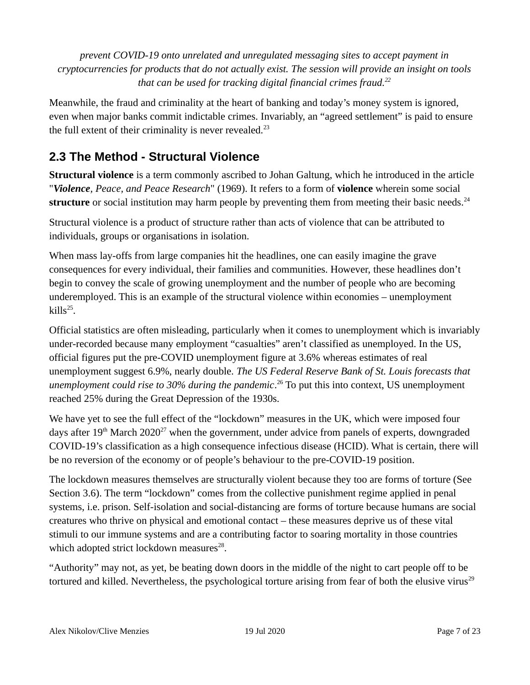*prevent COVID-19 onto unrelated and unregulated messaging sites to accept payment in cryptocurrencies for products that do not actually exist. The session will provide an insight on tools that can be used for tracking digital financial crimes fraud.<sup>22</sup>*

Meanwhile, the fraud and criminality at the heart of banking and today's money system is ignored, even when major banks commit indictable crimes. Invariably, an "agreed settlement" is paid to ensure the full extent of their criminality is never revealed. $23$ 

#### **2.3 The Method - Structural Violence**

**Structural violence** is a term commonly ascribed to Johan Galtung, which he introduced in the article "*Violence, Peace, and Peace Research*" (1969). It refers to a form of **violence** wherein some social **structure** or social institution may harm people by preventing them from meeting their basic needs.<sup>24</sup>

Structural violence is a product of structure rather than acts of violence that can be attributed to individuals, groups or organisations in isolation.

When mass lay-offs from large companies hit the headlines, one can easily imagine the grave consequences for every individual, their families and communities. However, these headlines don't begin to convey the scale of growing unemployment and the number of people who are becoming underemployed. This is an example of the structural violence within economies – unemployment kills $^{25}$ .

Official statistics are often misleading, particularly when it comes to unemployment which is invariably under-recorded because many employment "casualties" aren't classified as unemployed. In the US, official figures put the pre-COVID unemployment figure at 3.6% whereas estimates of real unemployment suggest 6.9%, nearly double. *The US Federal Reserve Bank of St. Louis forecasts that*  unemployment could rise to 30% during the pandemic.<sup>26</sup> To put this into context, US unemployment reached 25% during the Great Depression of the 1930s.

We have yet to see the full effect of the "lockdown" measures in the UK, which were imposed four days after  $19<sup>th</sup>$  March 2020<sup>27</sup> when the government, under advice from panels of experts, downgraded COVID-19's classification as a high consequence infectious disease (HCID). What is certain, there will be no reversion of the economy or of people's behaviour to the pre-COVID-19 position.

The lockdown measures themselves are structurally violent because they too are forms of torture (See Section 3.6). The term "lockdown" comes from the collective punishment regime applied in penal systems, i.e. prison. Self-isolation and social-distancing are forms of torture because humans are social creatures who thrive on physical and emotional contact – these measures deprive us of these vital stimuli to our immune systems and are a contributing factor to soaring mortality in those countries which adopted strict lockdown measures<sup>28</sup>.

"Authority" may not, as yet, be beating down doors in the middle of the night to cart people off to be tortured and killed. Nevertheless, the psychological torture arising from fear of both the elusive virus $^{29}$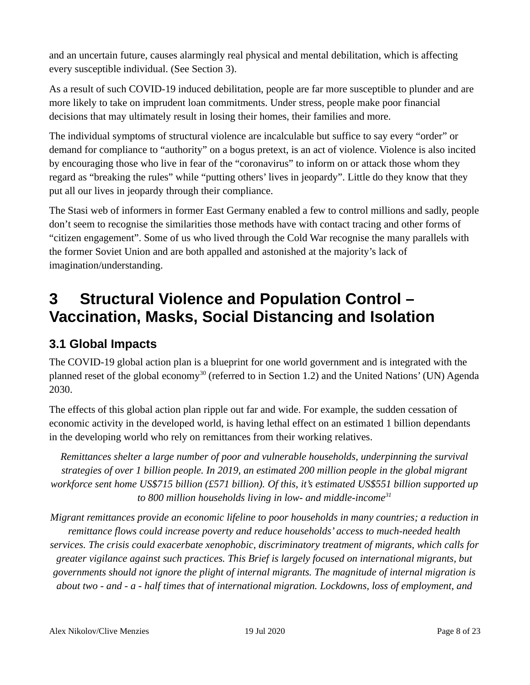and an uncertain future, causes alarmingly real physical and mental debilitation, which is affecting every susceptible individual. (See Section 3).

As a result of such COVID-19 induced debilitation, people are far more susceptible to plunder and are more likely to take on imprudent loan commitments. Under stress, people make poor financial decisions that may ultimately result in losing their homes, their families and more.

The individual symptoms of structural violence are incalculable but suffice to say every "order" or demand for compliance to "authority" on a bogus pretext, is an act of violence. Violence is also incited by encouraging those who live in fear of the "coronavirus" to inform on or attack those whom they regard as "breaking the rules" while "putting others' lives in jeopardy". Little do they know that they put all our lives in jeopardy through their compliance.

The Stasi web of informers in former East Germany enabled a few to control millions and sadly, people don't seem to recognise the similarities those methods have with contact tracing and other forms of "citizen engagement". Some of us who lived through the Cold War recognise the many parallels with the former Soviet Union and are both appalled and astonished at the majority's lack of imagination/understanding.

# **3 Structural Violence and Population Control – Vaccination, Masks, Social Distancing and Isolation**

#### **3.1 Global Impacts**

The COVID-19 global action plan is a blueprint for one world government and is integrated with the planned reset of the global economy<sup>30</sup> (referred to in Section 1.2) and the United Nations' (UN) Agenda 2030.

The effects of this global action plan ripple out far and wide. For example, the sudden cessation of economic activity in the developed world, is having lethal effect on an estimated 1 billion dependants in the developing world who rely on remittances from their working relatives.

*Remittances shelter a large number of poor and vulnerable households, underpinning the survival strategies of over 1 billion people. In 2019, an estimated 200 million people in the global migrant workforce sent home US\$715 billion (£571 billion). Of this, it's estimated US\$551 billion supported up to 800 million households living in low- and middle-income<sup>31</sup>*

*Migrant remittances provide an economic lifeline to poor households in many countries; a reduction in remittance flows could increase poverty and reduce households' access to much‐needed health services. The crisis could exacerbate xenophobic, discriminatory treatment of migrants, which calls for greater vigilance against such practices. This Brief is largely focused on international migrants, but governments should not ignore the plight of internal migrants. The magnitude of internal migration is about two - and - a - half times that of international migration. Lockdowns, loss of employment, and*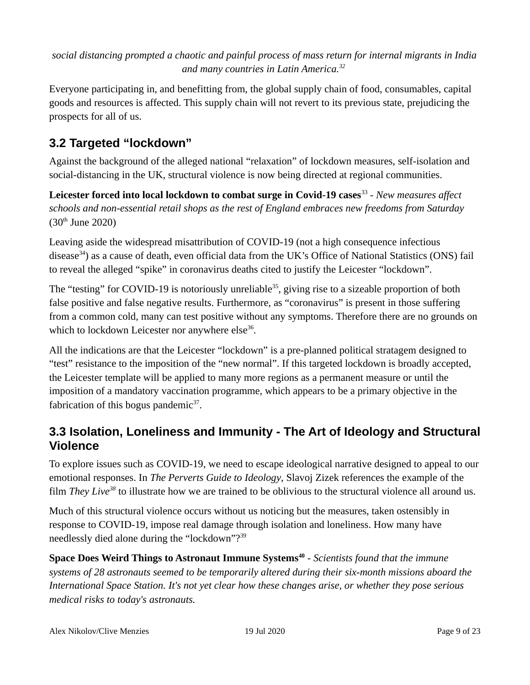*social distancing prompted a chaotic and painful process of mass return for internal migrants in India and many countries in Latin America.<sup>32</sup>*

Everyone participating in, and benefitting from, the global supply chain of food, consumables, capital goods and resources is affected. This supply chain will not revert to its previous state, prejudicing the prospects for all of us.

#### **3.2 Targeted "lockdown"**

Against the background of the alleged national "relaxation" of lockdown measures, self-isolation and social-distancing in the UK, structural violence is now being directed at regional communities.

Leicester forced into local lockdown to combat surge in Covid-19 cases<sup>33</sup> - *New measures affect schools and non-essential retail shops as the rest of England embraces new freedoms from Saturday*  $(30<sup>th</sup>$  June 2020)

Leaving aside the widespread misattribution of COVID-19 (not a high consequence infectious disease<sup>34</sup>) as a cause of death, even official data from the UK's Office of National Statistics (ONS) fail to reveal the alleged "spike" in coronavirus deaths cited to justify the Leicester "lockdown".

The "testing" for COVID-19 is notoriously unreliable<sup>35</sup>, giving rise to a sizeable proportion of both false positive and false negative results. Furthermore, as "coronavirus" is present in those suffering from a common cold, many can test positive without any symptoms. Therefore there are no grounds on which to lockdown Leicester nor anywhere else $^{36}$ .

All the indications are that the Leicester "lockdown" is a pre-planned political stratagem designed to "test" resistance to the imposition of the "new normal". If this targeted lockdown is broadly accepted, the Leicester template will be applied to many more regions as a permanent measure or until the imposition of a mandatory vaccination programme, which appears to be a primary objective in the fabrication of this bogus pandemic $37$ .

#### **3.3 Isolation, Loneliness and Immunity - The Art of Ideology and Structural Violence**

To explore issues such as COVID-19, we need to escape ideological narrative designed to appeal to our emotional responses. In *The Perverts Guide to Ideology*, Slavoj Zizek references the example of the film *They Live<sup>38</sup>* to illustrate how we are trained to be oblivious to the structural violence all around us.

Much of this structural violence occurs without us noticing but the measures, taken ostensibly in response to COVID-19, impose real damage through isolation and loneliness. How many have needlessly died alone during the "lockdown"?<sup>39</sup>

**Space Does Weird Things to Astronaut Immune Systems<sup>40</sup>** *- Scientists found that the immune systems of 28 astronauts seemed to be temporarily altered during their six-month missions aboard the International Space Station. It's not yet clear how these changes arise, or whether they pose serious medical risks to today's astronauts.*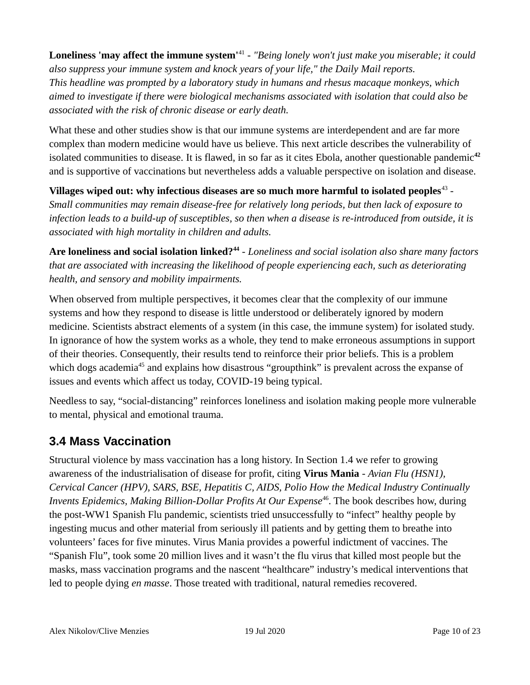Loneliness 'may affect the immune system<sup>141</sup> - "Being lonely won't just make you miserable; it could *also suppress your immune system and knock years of your life," the Daily Mail reports. This headline was prompted by a laboratory study in humans and rhesus macaque monkeys, which aimed to investigate if there were biological mechanisms associated with isolation that could also be associated with the risk of chronic disease or early death.*

What these and other studies show is that our immune systems are interdependent and are far more complex than modern medicine would have us believe. This next article describes the vulnerability of isolated communities to disease. It is flawed, in so far as it cites Ebola, another questionable pandemic<sup>42</sup> and is supportive of vaccinations but nevertheless adds a valuable perspective on isolation and disease.

Villages wiped out: why infectious diseases are so much more harmful to isolated peoples<sup>43</sup> -*Small communities may remain disease-free for relatively long periods, but then lack of exposure to infection leads to a build-up of susceptibles, so then when a disease is re-introduced from outside, it is associated with high mortality in children and adults.*

Are loneliness and social isolation linked?<sup>44</sup> - *Loneliness and social isolation also share many factors that are associated with increasing the likelihood of people experiencing each, such as deteriorating health, and sensory and mobility impairments.*

When observed from multiple perspectives, it becomes clear that the complexity of our immune systems and how they respond to disease is little understood or deliberately ignored by modern medicine. Scientists abstract elements of a system (in this case, the immune system) for isolated study. In ignorance of how the system works as a whole, they tend to make erroneous assumptions in support of their theories. Consequently, their results tend to reinforce their prior beliefs. This is a problem which dogs academia<sup>45</sup> and explains how disastrous "groupthink" is prevalent across the expanse of issues and events which affect us today, COVID-19 being typical.

Needless to say, "social-distancing" reinforces loneliness and isolation making people more vulnerable to mental, physical and emotional trauma.

#### **3.4 Mass Vaccination**

Structural violence by mass vaccination has a long history. In Section 1.4 we refer to growing awareness of the industrialisation of disease for profit, citing **Virus Mania** - *Avian Flu (HSN1), Cervical Cancer (HPV), SARS, BSE, Hepatitis C, AIDS, Polio How the Medical Industry Continually Invents Epidemics, Making Billion-Dollar Profits At Our Expense*<sup>46</sup>. The book describes how, during the post-WW1 Spanish Flu pandemic, scientists tried unsuccessfully to "infect" healthy people by ingesting mucus and other material from seriously ill patients and by getting them to breathe into volunteers' faces for five minutes. Virus Mania provides a powerful indictment of vaccines. The "Spanish Flu", took some 20 million lives and it wasn't the flu virus that killed most people but the masks, mass vaccination programs and the nascent "healthcare" industry's medical interventions that led to people dying *en masse*. Those treated with traditional, natural remedies recovered.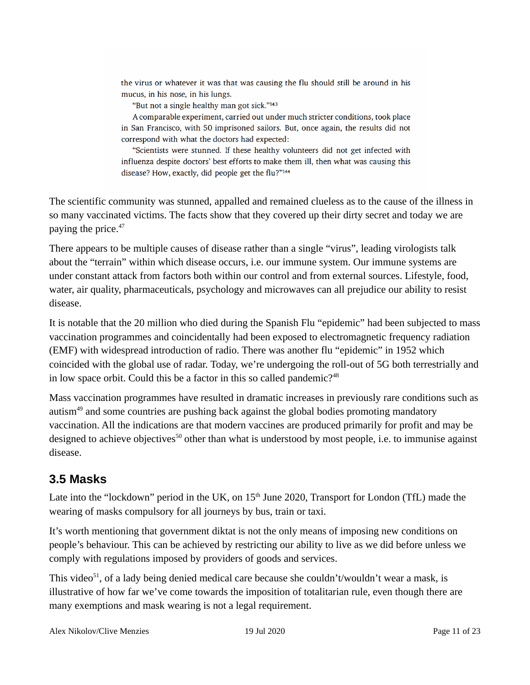the virus or whatever it was that was causing the flu should still be around in his mucus, in his nose, in his lungs.

"But not a single healthy man got sick."143

A comparable experiment, carried out under much stricter conditions, took place in San Francisco, with 50 imprisoned sailors. But, once again, the results did not correspond with what the doctors had expected:

"Scientists were stunned. If these healthy volunteers did not get infected with influenza despite doctors' best efforts to make them ill, then what was causing this disease? How, exactly, did people get the flu?"144

The scientific community was stunned, appalled and remained clueless as to the cause of the illness in so many vaccinated victims. The facts show that they covered up their dirty secret and today we are paying the price.<sup>47</sup>

There appears to be multiple causes of disease rather than a single "virus", leading virologists talk about the "terrain" within which disease occurs, i.e. our immune system. Our immune systems are under constant attack from factors both within our control and from external sources. Lifestyle, food, water, air quality, pharmaceuticals, psychology and microwaves can all prejudice our ability to resist disease.

It is notable that the 20 million who died during the Spanish Flu "epidemic" had been subjected to mass vaccination programmes and coincidentally had been exposed to electromagnetic frequency radiation (EMF) with widespread introduction of radio. There was another flu "epidemic" in 1952 which coincided with the global use of radar. Today, we're undergoing the roll-out of 5G both terrestrially and in low space orbit. Could this be a factor in this so called pandemic?<sup>48</sup>

Mass vaccination programmes have resulted in dramatic increases in previously rare conditions such as autism<sup>49</sup> and some countries are pushing back against the global bodies promoting mandatory vaccination. All the indications are that modern vaccines are produced primarily for profit and may be designed to achieve objectives<sup>50</sup> other than what is understood by most people, i.e. to immunise against disease.

#### **3.5 Masks**

Late into the "lockdown" period in the UK, on  $15<sup>th</sup>$  June 2020, Transport for London (TfL) made the wearing of masks compulsory for all journeys by bus, train or taxi.

It's worth mentioning that government diktat is not the only means of imposing new conditions on people's behaviour. This can be achieved by restricting our ability to live as we did before unless we comply with regulations imposed by providers of goods and services.

This video<sup>51</sup>, of a lady being denied medical care because she couldn't/wouldn't wear a mask, is illustrative of how far we've come towards the imposition of totalitarian rule, even though there are many exemptions and mask wearing is not a legal requirement.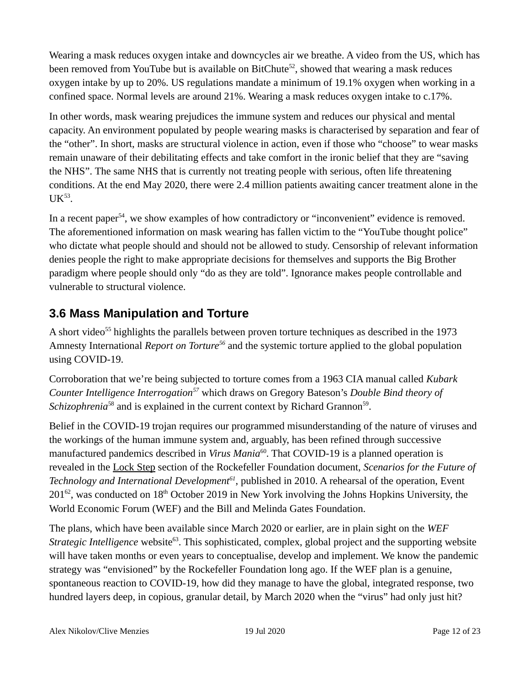Wearing a mask reduces oxygen intake and downcycles air we breathe. A video from the US, which has been removed from YouTube but is available on BitChute<sup>52</sup>, showed that wearing a mask reduces oxygen intake by up to 20%. US regulations mandate a minimum of 19.1% oxygen when working in a confined space. Normal levels are around 21%. Wearing a mask reduces oxygen intake to c.17%.

In other words, mask wearing prejudices the immune system and reduces our physical and mental capacity. An environment populated by people wearing masks is characterised by separation and fear of the "other". In short, masks are structural violence in action, even if those who "choose" to wear masks remain unaware of their debilitating effects and take comfort in the ironic belief that they are "saving the NHS". The same NHS that is currently not treating people with serious, often life threatening conditions. At the end May 2020, there were 2.4 million patients awaiting cancer treatment alone in the  $\mathrm{UK}^{53}.$ 

In a recent paper<sup>54</sup>, we show examples of how contradictory or "inconvenient" evidence is removed. The aforementioned information on mask wearing has fallen victim to the "YouTube thought police" who dictate what people should and should not be allowed to study. Censorship of relevant information denies people the right to make appropriate decisions for themselves and supports the Big Brother paradigm where people should only "do as they are told". Ignorance makes people controllable and vulnerable to structural violence.

#### **3.6 Mass Manipulation and Torture**

A short video<sup>55</sup> highlights the parallels between proven torture techniques as described in the 1973 Amnesty International *Report on Torture<sup>56</sup>* and the systemic torture applied to the global population using COVID-19.

Corroboration that we're being subjected to torture comes from a 1963 CIA manual called *Kubark Counter Intelligence Interrogation<sup>57</sup>* which draws on Gregory Bateson's *Double Bind theory of*  Schizophrenia<sup>58</sup> and is explained in the current context by Richard Grannon<sup>59</sup>.

Belief in the COVID-19 trojan requires our programmed misunderstanding of the nature of viruses and the workings of the human immune system and, arguably, has been refined through successive manufactured pandemics described in *Virus Mania*<sup>60</sup>. That COVID-19 is a planned operation is revealed in the Lock Step section of the Rockefeller Foundation document, *Scenarios for the Future of Technology and International Development<sup>61</sup>*, published in 2010. A rehearsal of the operation, Event  $201^{62}$ , was conducted on  $18<sup>th</sup>$  October 2019 in New York involving the Johns Hopkins University, the World Economic Forum (WEF) and the Bill and Melinda Gates Foundation.

The plans, which have been available since March 2020 or earlier, are in plain sight on the *WEF Strategic Intelligence* website<sup>63</sup>. This sophisticated, complex, global project and the supporting website will have taken months or even years to conceptualise, develop and implement. We know the pandemic strategy was "envisioned" by the Rockefeller Foundation long ago. If the WEF plan is a genuine, spontaneous reaction to COVID-19, how did they manage to have the global, integrated response, two hundred layers deep, in copious, granular detail, by March 2020 when the "virus" had only just hit?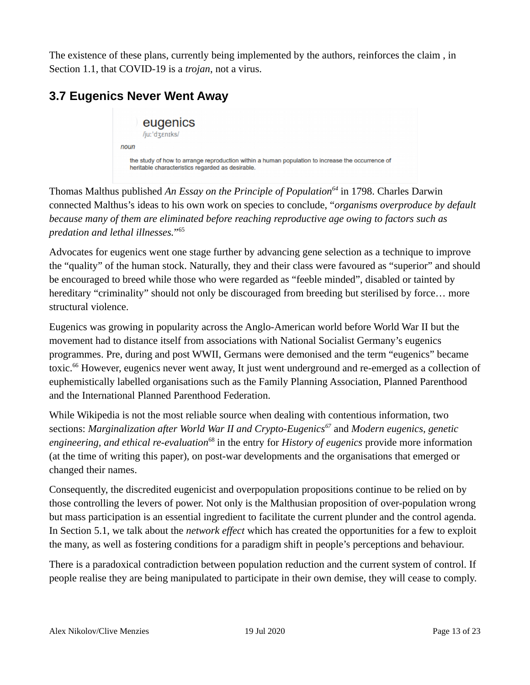The existence of these plans, currently being implemented by the authors, reinforces the claim , in Section 1.1, that COVID-19 is a *trojan*, not a virus.

### **3.7 Eugenics Never Went Away**



Thomas Malthus published *An Essay on the Principle of Population<sup>64</sup>* in 1798. Charles Darwin connected Malthus's ideas to his own work on species to conclude, "*organisms overproduce by default because many of them are eliminated before reaching reproductive age owing to factors such as predation and lethal illnesses.*" 65

Advocates for eugenics went one stage further by advancing gene selection as a technique to improve the "quality" of the human stock. Naturally, they and their class were favoured as "superior" and should be encouraged to breed while those who were regarded as "feeble minded", disabled or tainted by hereditary "criminality" should not only be discouraged from breeding but sterilised by force... more structural violence.

Eugenics was growing in popularity across the Anglo-American world before World War II but the movement had to distance itself from associations with National Socialist Germany's eugenics programmes. Pre, during and post WWII, Germans were demonised and the term "eugenics" became toxic.<sup>66</sup> However, eugenics never went away, It just went underground and re-emerged as a collection of euphemistically labelled organisations such as the Family Planning Association, Planned Parenthood and the International Planned Parenthood Federation.

While Wikipedia is not the most reliable source when dealing with contentious information, two sections: *Marginalization after World War II and Crypto-Eugenics<sup>67</sup>* and *Modern eugenics, genetic engineering, and ethical re-evaluation*<sup>68</sup> in the entry for *History of eugenics* provide more information (at the time of writing this paper), on post-war developments and the organisations that emerged or changed their names.

Consequently, the discredited eugenicist and overpopulation propositions continue to be relied on by those controlling the levers of power. Not only is the Malthusian proposition of over-population wrong but mass participation is an essential ingredient to facilitate the current plunder and the control agenda. In Section 5.1, we talk about the *network effect* which has created the opportunities for a few to exploit the many, as well as fostering conditions for a paradigm shift in people's perceptions and behaviour.

There is a paradoxical contradiction between population reduction and the current system of control. If people realise they are being manipulated to participate in their own demise, they will cease to comply.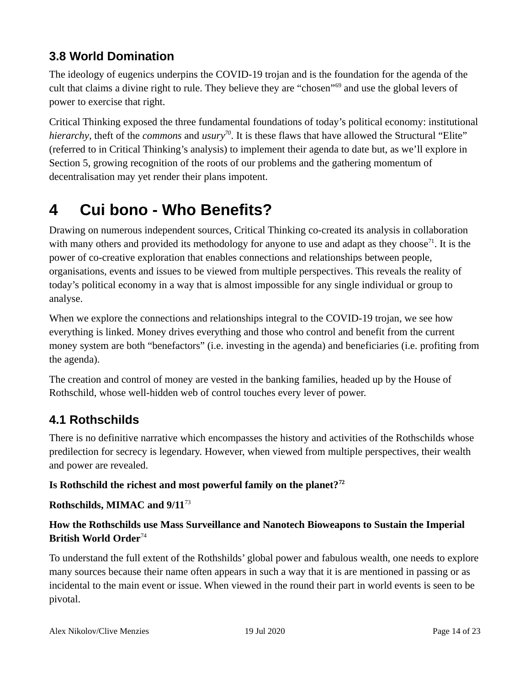### **3.8 World Domination**

The ideology of eugenics underpins the COVID-19 trojan and is the foundation for the agenda of the cult that claims a divine right to rule. They believe they are "chosen"<sup>69</sup> and use the global levers of power to exercise that right.

Critical Thinking exposed the three fundamental foundations of today's political economy: institutional *hierarchy*, theft of the *commons* and *usury<sup>70</sup>*. It is these flaws that have allowed the Structural "Elite" (referred to in Critical Thinking's analysis) to implement their agenda to date but, as we'll explore in Section 5, growing recognition of the roots of our problems and the gathering momentum of decentralisation may yet render their plans impotent.

# **4 Cui bono - Who Benefits?**

Drawing on numerous independent sources, Critical Thinking co-created its analysis in collaboration with many others and provided its methodology for anyone to use and adapt as they choose<sup>71</sup>. It is the power of co-creative exploration that enables connections and relationships between people, organisations, events and issues to be viewed from multiple perspectives. This reveals the reality of today's political economy in a way that is almost impossible for any single individual or group to analyse.

When we explore the connections and relationships integral to the COVID-19 trojan, we see how everything is linked. Money drives everything and those who control and benefit from the current money system are both "benefactors" (i.e. investing in the agenda) and beneficiaries (i.e. profiting from the agenda).

The creation and control of money are vested in the banking families, headed up by the House of Rothschild, whose well-hidden web of control touches every lever of power.

#### **4.1 Rothschilds**

There is no definitive narrative which encompasses the history and activities of the Rothschilds whose predilection for secrecy is legendary. However, when viewed from multiple perspectives, their wealth and power are revealed.

#### **Is Rothschild the richest and most powerful family on the planet?<sup>72</sup>**

#### **Rothschilds, MIMAC and 9/11**<sup>73</sup>

#### **How the Rothschilds use Mass Surveillance and Nanotech Bioweapons to Sustain the Imperial British World Order**<sup>74</sup>

To understand the full extent of the Rothshilds' global power and fabulous wealth, one needs to explore many sources because their name often appears in such a way that it is are mentioned in passing or as incidental to the main event or issue. When viewed in the round their part in world events is seen to be pivotal.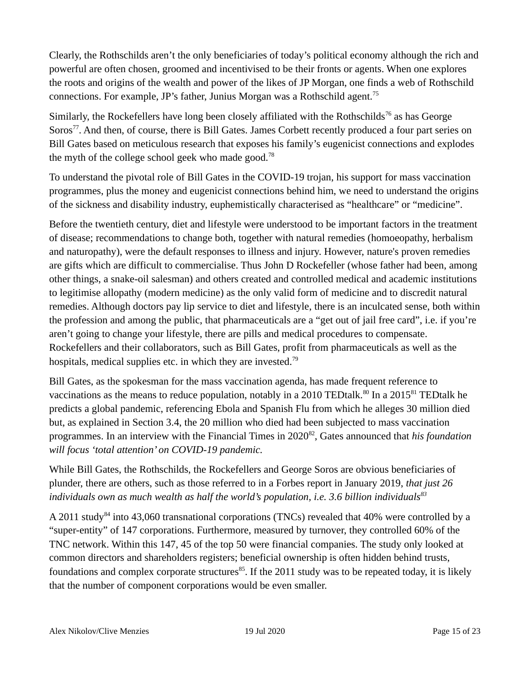Clearly, the Rothschilds aren't the only beneficiaries of today's political economy although the rich and powerful are often chosen, groomed and incentivised to be their fronts or agents. When one explores the roots and origins of the wealth and power of the likes of JP Morgan, one finds a web of Rothschild connections. For example, JP's father, Junius Morgan was a Rothschild agent.<sup>75</sup>

Similarly, the Rockefellers have long been closely affiliated with the Rothschilds<sup>76</sup> as has George Soros<sup>77</sup>. And then, of course, there is Bill Gates. James Corbett recently produced a four part series on Bill Gates based on meticulous research that exposes his family's eugenicist connections and explodes the myth of the college school geek who made good.<sup>78</sup>

To understand the pivotal role of Bill Gates in the COVID-19 trojan, his support for mass vaccination programmes, plus the money and eugenicist connections behind him, we need to understand the origins of the sickness and disability industry, euphemistically characterised as "healthcare" or "medicine".

Before the twentieth century, diet and lifestyle were understood to be important factors in the treatment of disease; recommendations to change both, together with natural remedies (homoeopathy, herbalism and naturopathy), were the default responses to illness and injury. However, nature's proven remedies are gifts which are difficult to commercialise. Thus John D Rockefeller (whose father had been, among other things, a snake-oil salesman) and others created and controlled medical and academic institutions to legitimise allopathy (modern medicine) as the only valid form of medicine and to discredit natural remedies. Although doctors pay lip service to diet and lifestyle, there is an inculcated sense, both within the profession and among the public, that pharmaceuticals are a "get out of jail free card", i.e. if you're aren't going to change your lifestyle, there are pills and medical procedures to compensate. Rockefellers and their collaborators, such as Bill Gates, profit from pharmaceuticals as well as the hospitals, medical supplies etc. in which they are invested.<sup>79</sup>

Bill Gates, as the spokesman for the mass vaccination agenda, has made frequent reference to vaccinations as the means to reduce population, notably in a 2010 TEDtalk.<sup>80</sup> In a 2015<sup>81</sup> TEDtalk he predicts a global pandemic, referencing Ebola and Spanish Flu from which he alleges 30 million died but, as explained in Section 3.4, the 20 million who died had been subjected to mass vaccination programmes. In an interview with the Financial Times in 2020<sup>82</sup>, Gates announced that *his foundation will focus 'total attention' on COVID-19 pandemic.*

While Bill Gates, the Rothschilds, the Rockefellers and George Soros are obvious beneficiaries of plunder, there are others, such as those referred to in a Forbes report in January 2019, *that just 26 individuals own as much wealth as half the world's population, i.e. 3.6 billion individuals<sup>83</sup>*

A 2011 study<sup>84</sup> into 43,060 transnational corporations (TNCs) revealed that 40% were controlled by a "super-entity" of 147 corporations. Furthermore, measured by turnover, they controlled 60% of the TNC network. Within this 147, 45 of the top 50 were financial companies. The study only looked at common directors and shareholders registers; beneficial ownership is often hidden behind trusts, foundations and complex corporate structures<sup>85</sup>. If the 2011 study was to be repeated today, it is likely that the number of component corporations would be even smaller.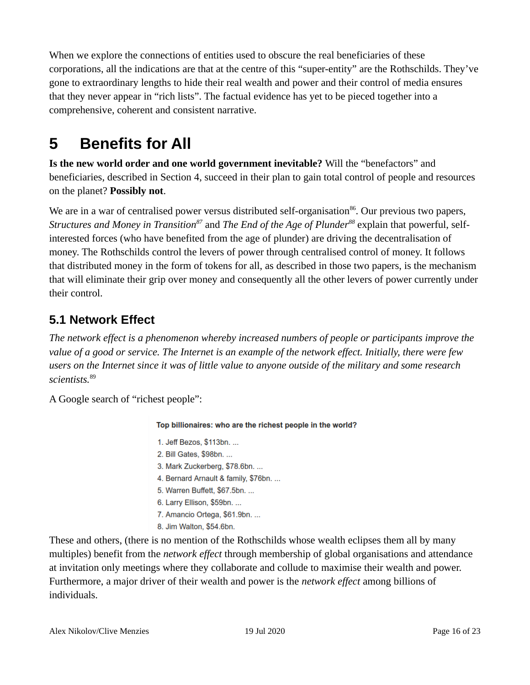When we explore the connections of entities used to obscure the real beneficiaries of these corporations, all the indications are that at the centre of this "super-entity" are the Rothschilds. They've gone to extraordinary lengths to hide their real wealth and power and their control of media ensures that they never appear in "rich lists". The factual evidence has yet to be pieced together into a comprehensive, coherent and consistent narrative.

# **5 Benefits for All**

**Is the new world order and one world government inevitable?** Will the "benefactors" and beneficiaries, described in Section 4, succeed in their plan to gain total control of people and resources on the planet? **Possibly not**.

We are in a war of centralised power versus distributed self-organisation<sup>86</sup>. Our previous two papers, *Structures and Money in Transition87* and *The End of the Age of Plunder88* explain that powerful, selfinterested forces (who have benefited from the age of plunder) are driving the decentralisation of money. The Rothschilds control the levers of power through centralised control of money. It follows that distributed money in the form of tokens for all, as described in those two papers, is the mechanism that will eliminate their grip over money and consequently all the other levers of power currently under their control.

## **5.1 Network Effect**

*The network effect is a phenomenon whereby increased numbers of people or participants improve the value of a good or service. The Internet is an example of the network effect. Initially, there were few users on the Internet since it was of little value to anyone outside of the military and some research scientists.*<sup>89</sup>

A Google search of "richest people":

Top billionaires: who are the richest people in the world?

- 1. Jeff Bezos, \$113bn. ...
- 2. Bill Gates, \$98bn. ...
- 3. Mark Zuckerberg, \$78.6bn. ...
- 4. Bernard Arnault & family, \$76bn. ...
- 5. Warren Buffett, \$67.5bn. ...
- 6. Larry Ellison, \$59bn. ...
- 7. Amancio Ortega, \$61.9bn. ...
- 8. Jim Walton, \$54.6bn.

These and others, (there is no mention of the Rothschilds whose wealth eclipses them all by many multiples) benefit from the *network effect* through membership of global organisations and attendance at invitation only meetings where they collaborate and collude to maximise their wealth and power. Furthermore, a major driver of their wealth and power is the *network effect* among billions of individuals.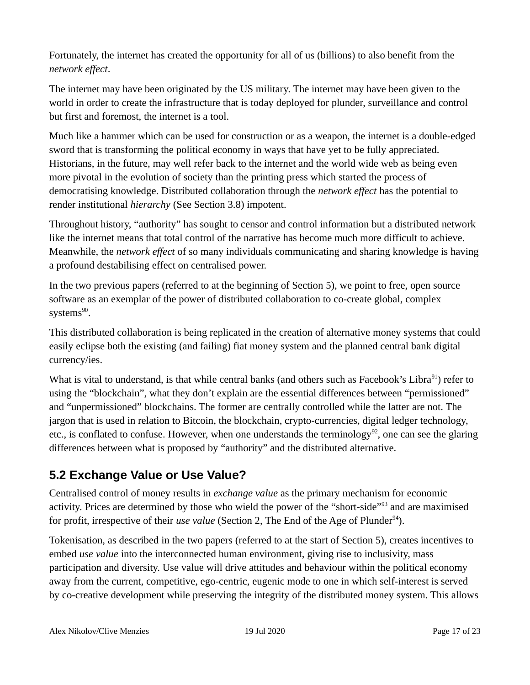Fortunately, the internet has created the opportunity for all of us (billions) to also benefit from the *network effect*.

The internet may have been originated by the US military. The internet may have been given to the world in order to create the infrastructure that is today deployed for plunder, surveillance and control but first and foremost, the internet is a tool.

Much like a hammer which can be used for construction or as a weapon, the internet is a double-edged sword that is transforming the political economy in ways that have yet to be fully appreciated. Historians, in the future, may well refer back to the internet and the world wide web as being even more pivotal in the evolution of society than the printing press which started the process of democratising knowledge. Distributed collaboration through the *network effect* has the potential to render institutional *hierarchy* (See Section 3.8) impotent.

Throughout history, "authority" has sought to censor and control information but a distributed network like the internet means that total control of the narrative has become much more difficult to achieve. Meanwhile, the *network effect* of so many individuals communicating and sharing knowledge is having a profound destabilising effect on centralised power.

In the two previous papers (referred to at the beginning of Section 5), we point to free, open source software as an exemplar of the power of distributed collaboration to co-create global, complex systems $^{90}$ .

This distributed collaboration is being replicated in the creation of alternative money systems that could easily eclipse both the existing (and failing) fiat money system and the planned central bank digital currency/ies.

What is vital to understand, is that while central banks (and others such as Facebook's Libra<sup>91</sup>) refer to using the "blockchain", what they don't explain are the essential differences between "permissioned" and "unpermissioned" blockchains. The former are centrally controlled while the latter are not. The jargon that is used in relation to Bitcoin, the blockchain, crypto-currencies, digital ledger technology, etc., is conflated to confuse. However, when one understands the terminology<sup>92</sup>, one can see the glaring differences between what is proposed by "authority" and the distributed alternative.

#### **5.2 Exchange Value or Use Value?**

Centralised control of money results in *exchange value* as the primary mechanism for economic activity. Prices are determined by those who wield the power of the "short-side"<sup>93</sup> and are maximised for profit, irrespective of their *use value* (Section 2, The End of the Age of Plunder<sup>94</sup>).

Tokenisation, as described in the two papers (referred to at the start of Section 5), creates incentives to embed *use value* into the interconnected human environment, giving rise to inclusivity, mass participation and diversity. Use value will drive attitudes and behaviour within the political economy away from the current, competitive, ego-centric, eugenic mode to one in which self-interest is served by co-creative development while preserving the integrity of the distributed money system. This allows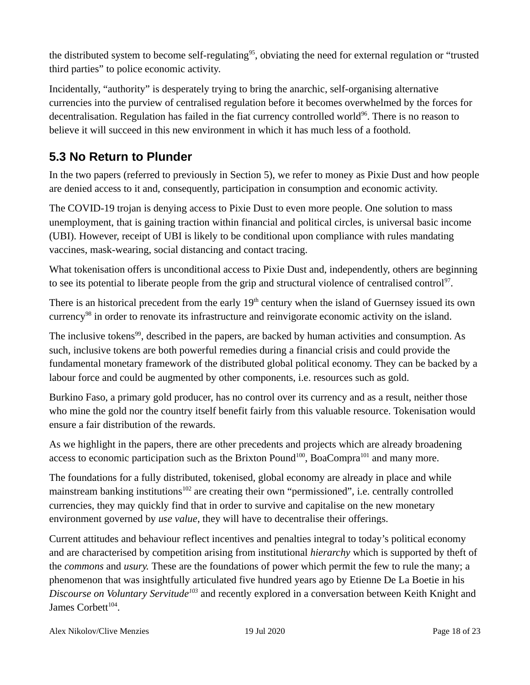the distributed system to become self-regulating<sup>95</sup>, obviating the need for external regulation or "trusted third parties" to police economic activity.

Incidentally, "authority" is desperately trying to bring the anarchic, self-organising alternative currencies into the purview of centralised regulation before it becomes overwhelmed by the forces for decentralisation. Regulation has failed in the fiat currency controlled world<sup>96</sup>. There is no reason to believe it will succeed in this new environment in which it has much less of a foothold.

#### **5.3 No Return to Plunder**

In the two papers (referred to previously in Section 5), we refer to money as Pixie Dust and how people are denied access to it and, consequently, participation in consumption and economic activity.

The COVID-19 trojan is denying access to Pixie Dust to even more people. One solution to mass unemployment, that is gaining traction within financial and political circles, is universal basic income (UBI). However, receipt of UBI is likely to be conditional upon compliance with rules mandating vaccines, mask-wearing, social distancing and contact tracing.

What tokenisation offers is unconditional access to Pixie Dust and, independently, others are beginning to see its potential to liberate people from the grip and structural violence of centralised control<sup>97</sup>.

There is an historical precedent from the early  $19<sup>th</sup>$  century when the island of Guernsey issued its own currency<sup>98</sup> in order to renovate its infrastructure and reinvigorate economic activity on the island.

The inclusive tokens<sup>99</sup>, described in the papers, are backed by human activities and consumption. As such, inclusive tokens are both powerful remedies during a financial crisis and could provide the fundamental monetary framework of the distributed global political economy. They can be backed by a labour force and could be augmented by other components, i.e. resources such as gold.

Burkino Faso, a primary gold producer, has no control over its currency and as a result, neither those who mine the gold nor the country itself benefit fairly from this valuable resource. Tokenisation would ensure a fair distribution of the rewards.

As we highlight in the papers, there are other precedents and projects which are already broadening access to economic participation such as the Brixton Pound<sup>100</sup>, BoaCompra<sup>101</sup> and many more.

The foundations for a fully distributed, tokenised, global economy are already in place and while mainstream banking institutions<sup>102</sup> are creating their own "permissioned", i.e. centrally controlled currencies, they may quickly find that in order to survive and capitalise on the new monetary environment governed by *use value*, they will have to decentralise their offerings.

Current attitudes and behaviour reflect incentives and penalties integral to today's political economy and are characterised by competition arising from institutional *hierarchy* which is supported by theft of the *commons* and *usury.* These are the foundations of power which permit the few to rule the many; a phenomenon that was insightfully articulated five hundred years ago by Etienne De La Boetie in his *Discourse on Voluntary Servitude<sup>103</sup>* and recently explored in a conversation between Keith Knight and James Corbett<sup>104</sup>.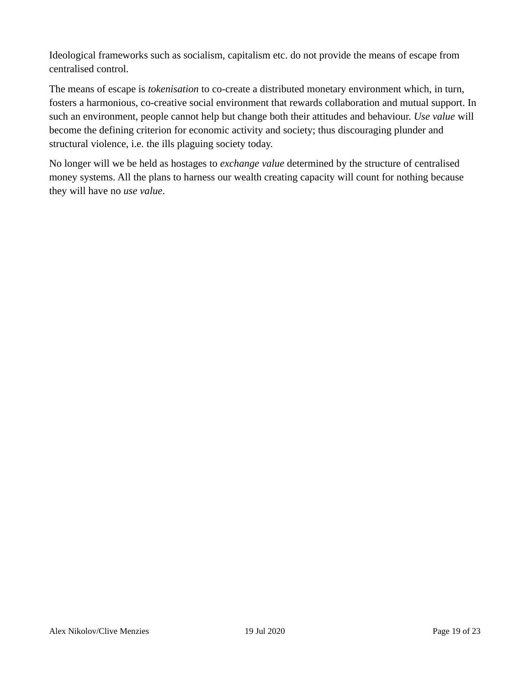Ideological frameworks such as socialism, capitalism etc. do not provide the means of escape from centralised control.

The means of escape is *tokenisation* to co-create a distributed monetary environment which, in turn, fosters a harmonious, co-creative social environment that rewards collaboration and mutual support. In such an environment, people cannot help but change both their attitudes and behaviour. *Use value* will become the defining criterion for economic activity and society; thus discouraging plunder and structural violence, i.e. the ills plaguing society today.

No longer will we be held as hostages to *exchange value* determined by the structure of centralised money systems. All the plans to harness our wealth creating capacity will count for nothing because they will have no *use value*.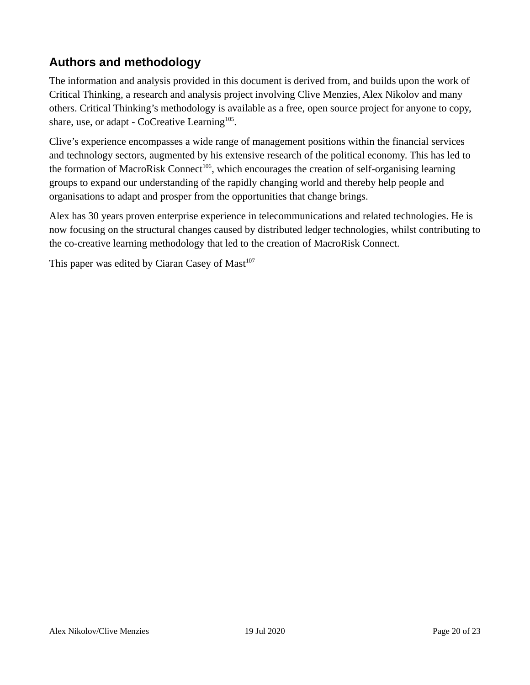#### **Authors and methodology**

The information and analysis provided in this document is derived from, and builds upon the work of Critical Thinking, a research and analysis project involving Clive Menzies, Alex Nikolov and many others. Critical Thinking's methodology is available as a free, open source project for anyone to copy, share, use, or adapt - CoCreative Learning<sup>105</sup>.

Clive's experience encompasses a wide range of management positions within the financial services and technology sectors, augmented by his extensive research of the political economy. This has led to the formation of MacroRisk Connect<sup>106</sup>, which encourages the creation of self-organising learning groups to expand our understanding of the rapidly changing world and thereby help people and organisations to adapt and prosper from the opportunities that change brings.

Alex has 30 years proven enterprise experience in telecommunications and related technologies. He is now focusing on the structural changes caused by distributed ledger technologies, whilst contributing to the co-creative learning methodology that led to the creation of MacroRisk Connect.

This paper was edited by Ciaran Casey of Mast<sup>107</sup>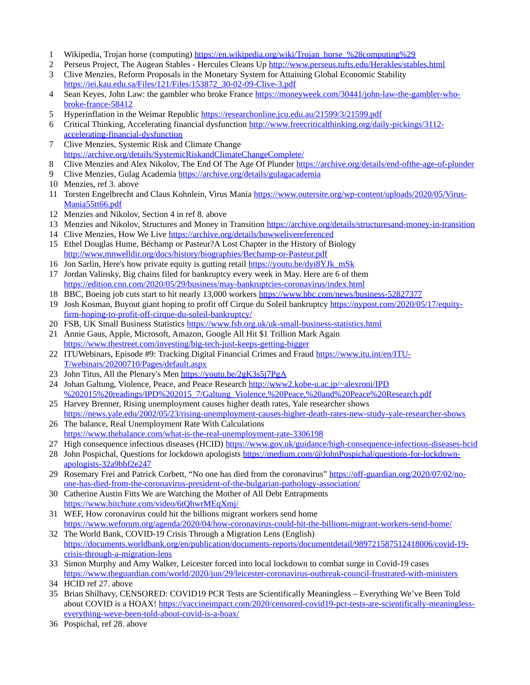- 1 Wikipedia, Trojan horse (computing) [https://en.wikipedia.org/wiki/Trojan\\_horse\\_%28computing%29](https://en.wikipedia.org/wiki/Trojan_horse_(computing))
- 2 Perseus Project, The Augean Stables Hercules Cleans Up<http://www.perseus.tufts.edu/Herakles/stables.html>
- 3 Clive Menzies, Reform Proposals in the Monetary System for Attaining Global Economic Stability https://iei.kau.edu.sa/Files/121/Files/153872\_30-02-09-Clive-3.pdf
- 4 Sean Keyes, John Law: the gambler who broke France [https://moneyweek.com/30441/john-law-the-gambler-who](https://moneyweek.com/30441/john-law-the-gambler-who-broke-france-58412)[broke-france-58412](https://moneyweek.com/30441/john-law-the-gambler-who-broke-france-58412)
- 5 Hyperinflation in the Weimar Republic https://researchonline.jcu.edu.au/21599/3/21599.pdf
- 6 Critical Thinking, Accelerating financial dysfunction [http://www.freecriticalthinking.org/daily-pickings/3112](http://www.freecriticalthinking.org/daily-pickings/3112-accelerating-financial-dysfunction) [accelerating-financial-dysfunction](http://www.freecriticalthinking.org/daily-pickings/3112-accelerating-financial-dysfunction)
- 7 Clive Menzies, Systemic Risk and Climate Change <https://archive.org/details/SystemicRiskandClimateChangeComplete/>
- 8 Clive Menzies and Alex Nikolov, The End Of The Age Of Plunder<https://archive.org/details/end-ofthe-age-of-plunder>
- 9 Clive Menzies, Gulag Academia<https://archive.org/details/gulagacademia>
- 10 Menzies, ref 3. above
- 11 Torsten Engelbrecht and Claus Kohnlein, Virus Mania https://www.outersite.org/wp-content/uploads/2020/05/Virus-Mania55tt66.pdf
- 12 Menzies and Nikolov, Section 4 in ref 8. above
- 13 Menzies and Nikolov, Structures and Money in Transition<https://archive.org/details/structuresand-money-in-transition>
- 14 Clive Menzies, How We Live<https://archive.org/details/howwelivereferenced>
- 15 Ethel Douglas Hume, Béchamp or Pasteur?A Lost Chapter in the History of Biology http://www.mnwelldir.org/docs/history/biographies/Bechamp-or-Pasteur.pdf
- 16 Jon Sarlin, Here's how private equity is gutting retail [https://youtu.be/dyi8YJk\\_mSk](https://youtu.be/dyi8YJk_mSk)
- 17 Jordan Valinsky, Big chains filed for bankruptcy every week in May. Here are 6 of them <https://edition.cnn.com/2020/05/29/business/may-bankruptcies-coronavirus/index.html>
- 18 BBC, Boeing job cuts start to hit nearly 13,000 workers<https://www.bbc.com/news/business-52827377>
- 19 Josh Kosman, Buyout giant hoping to profit off Cirque du Soleil bankruptcy [https://nypost.com/2020/05/17/equity](https://nypost.com/2020/05/17/equity-firm-hoping-to-profit-off-cirque-du-soleil-bankruptcy/)[firm-hoping-to-profit-off-cirque-du-soleil-bankruptcy/](https://nypost.com/2020/05/17/equity-firm-hoping-to-profit-off-cirque-du-soleil-bankruptcy/)
- 20 FSB, UK Small Business Statistics<https://www.fsb.org.uk/uk-small-business-statistics.html>
- 21 Annie Gaus, Apple, Microsoft, Amazon, Google All Hit \$1 Trillion Mark Again <https://www.thestreet.com/investing/big-tech-just-keeps-getting-bigger>
- 22 ITUWebinars, Episode #9: Tracking Digital Financial Crimes and Fraud [https://www.itu.int/en/ITU-](https://www.itu.int/en/ITU-T/webinars/20200710/Pages/default.aspx)[T/webinars/20200710/Pages/default.aspx](https://www.itu.int/en/ITU-T/webinars/20200710/Pages/default.aspx)
- 23 John Titus, All the Plenary's Men<https://youtu.be/2gK3s5j7PgA>
- 24 Johan Galtung, Violence, Peace, and Peace Research http://www2.kobe-u.ac.jp/~alexroni/IPD %202015%20readings/IPD%202015\_7/Galtung\_Violence,%20Peace,%20and%20Peace%20Research.pdf
- 25 Harvey Brenner, Rising unemployment causes higher death rates, Yale researcher shows <https://news.yale.edu/2002/05/23/rising-unemployment-causes-higher-death-rates-new-study-yale-researcher-shows>
- 26 The balance, Real Unemployment Rate With Calculations <https://www.thebalance.com/what-is-the-real-unemployment-rate-3306198>
- 27 High consequence infectious diseases (HCID)<https://www.gov.uk/guidance/high-consequence-infectious-diseases-hcid>
- 28 John Pospichal, Questions for lockdown apologists [https://medium.com/@JohnPospichal/questions-for-lockdown](https://medium.com/@JohnPospichal/questions-for-lockdown-apologists-32a9bbf2e247)[apologists-32a9bbf2e247](https://medium.com/@JohnPospichal/questions-for-lockdown-apologists-32a9bbf2e247)
- 29 Rosemary Frei and Patrick Corbett, "No one has died from the coronavirus" [https://off-guardian.org/2020/07/02/no](https://off-guardian.org/2020/07/02/no-one-has-died-from-the-coronavirus-president-of-the-bulgarian-pathology-association/)[one-has-died-from-the-coronavirus-president-of-the-bulgarian-pathology-association/](https://off-guardian.org/2020/07/02/no-one-has-died-from-the-coronavirus-president-of-the-bulgarian-pathology-association/)
- 30 Catherine Austin Fitts We are Watching the Mother of All Debt Entrapments <https://www.bitchute.com/video/6tQhwrMEqXmj/>
- 31 WEF, How coronavirus could hit the billions migrant workers send home <https://www.weforum.org/agenda/2020/04/how-coronavirus-could-hit-the-billions-migrant-workers-send-home/>
- 32 The World Bank, COVID-19 Crisis Through a Migration Lens (English) [https://documents.worldbank.org/en/publication/documents-reports/documentdetail/989721587512418006/covid-19](https://documents.worldbank.org/en/publication/documents-reports/documentdetail/989721587512418006/covid-19-crisis-through-a-migration-lens) [crisis-through-a-migration-lens](https://documents.worldbank.org/en/publication/documents-reports/documentdetail/989721587512418006/covid-19-crisis-through-a-migration-lens)
- 33 Simon Murphy and Amy Walker, Leicester forced into local lockdown to combat surge in Covid-19 cases <https://www.theguardian.com/world/2020/jun/29/leicester-coronavirus-outbreak-council-frustrated-with-ministers>
- 34 HCID ref 27. above
- 35 Brian Shilhavy, CENSORED: COVID19 PCR Tests are Scientifically Meaningless Everything We've Been Told about COVID is a HOAX! [https://vaccineimpact.com/2020/censored-covid19-pcr-tests-are-scientifically-meaningless](https://vaccineimpact.com/2020/censored-covid19-pcr-tests-are-scientifically-meaningless-everything-weve-been-told-about-covid-is-a-hoax/)[everything-weve-been-told-about-covid-is-a-hoax/](https://vaccineimpact.com/2020/censored-covid19-pcr-tests-are-scientifically-meaningless-everything-weve-been-told-about-covid-is-a-hoax/)
- 36 Pospichal, ref 28. above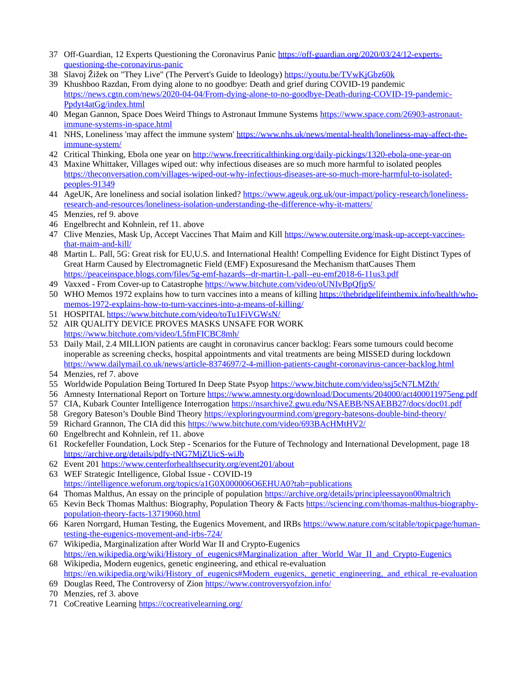- 37 Off-Guardian, 12 Experts Questioning the Coronavirus Panic [https://off-guardian.org/2020/03/24/12-experts](https://off-guardian.org/2020/03/24/12-experts-questioning-the-coronavirus-panic)[questioning-the-coronavirus-panic](https://off-guardian.org/2020/03/24/12-experts-questioning-the-coronavirus-panic)
- 38 Slavoj Žižek on "They Live" (The Pervert's Guide to Ideology)<https://youtu.be/TVwKjGbz60k>
- 39 Khushboo Razdan, From dying alone to no goodbye: Death and grief during COVID-19 pandemic [https://news.cgtn.com/news/2020-04-04/From-dying-alone-to-no-goodbye-Death-during-COVID-19-pandemic-](https://news.cgtn.com/news/2020-04-04/From-dying-alone-to-no-goodbye-Death-during-COVID-19-pandemic-Ppdyt4atGg/index.html)[Ppdyt4atGg/index.html](https://news.cgtn.com/news/2020-04-04/From-dying-alone-to-no-goodbye-Death-during-COVID-19-pandemic-Ppdyt4atGg/index.html)
- 40 Megan Gannon, Space Does Weird Things to Astronaut Immune Systems [https://www.space.com/26903-astronaut](https://www.space.com/26903-astronaut-immune-systems-in-space.html)[immune-systems-in-space.html](https://www.space.com/26903-astronaut-immune-systems-in-space.html)
- 41 NHS, Loneliness 'may affect the immune system' [https://www.nhs.uk/news/mental-health/loneliness-may-affect-the](https://www.nhs.uk/news/mental-health/loneliness-may-affect-the-immune-system/)[immune-system/](https://www.nhs.uk/news/mental-health/loneliness-may-affect-the-immune-system/)
- 42 Critical Thinking, Ebola one year on<http://www.freecriticalthinking.org/daily-pickings/1320-ebola-one-year-on>
- 43 Maxine Whittaker, Villages wiped out: why infectious diseases are so much more harmful to isolated peoples [https://theconversation.com/villages-wiped-out-why-infectious-diseases-are-so-much-more-harmful-to-isolated](https://theconversation.com/villages-wiped-out-why-infectious-diseases-are-so-much-more-harmful-to-isolated-peoples-91349)[peoples-91349](https://theconversation.com/villages-wiped-out-why-infectious-diseases-are-so-much-more-harmful-to-isolated-peoples-91349)
- 44 AgeUK, Are loneliness and social isolation linked? [https://www.ageuk.org.uk/our-impact/policy-research/loneliness](https://www.ageuk.org.uk/our-impact/policy-research/loneliness-research-and-resources/loneliness-isolation-understanding-the-difference-why-it-matters/)[research-and-resources/loneliness-isolation-understanding-the-difference-why-it-matters/](https://www.ageuk.org.uk/our-impact/policy-research/loneliness-research-and-resources/loneliness-isolation-understanding-the-difference-why-it-matters/)
- 45 Menzies, ref 9. above
- 46 Engelbrecht and Kohnlein, ref 11. above
- 47 Clive Menzies, Mask Up, Accept Vaccines That Maim and Kill [https://www.outersite.org/mask-up-accept-vaccines](https://www.outersite.org/mask-up-accept-vaccines-that-maim-and-kill/)[that-maim-and-kill/](https://www.outersite.org/mask-up-accept-vaccines-that-maim-and-kill/)
- 48 Martin L. Pall, 5G: Great risk for EU,U.S. and International Health! Compelling Evidence for Eight Distinct Types of Great Harm Caused by Electromagnetic Field (EMF) Exposuresand the Mechanism thatCauses Them https://peaceinspace.blogs.com/files/5g-emf-hazards--dr-martin-l.-pall--eu-emf2018-6-11us3.pdf
- 49 Vaxxed From Cover-up to Catastrophe<https://www.bitchute.com/video/oUNIvBpQfjpS/>
- 50 WHO Memos 1972 explains how to turn vaccines into a means of killing [https://thebridgelifeinthemix.info/health/who](https://thebridgelifeinthemix.info/health/who-memos-1972-explains-how-to-turn-vaccines-into-a-means-of-killing/)[memos-1972-explains-how-to-turn-vaccines-into-a-means-of-killing/](https://thebridgelifeinthemix.info/health/who-memos-1972-explains-how-to-turn-vaccines-into-a-means-of-killing/)
- 51 HOSPITAL<https://www.bitchute.com/video/toTu1FiVGWsN/>
- 52 AIR QUALITY DEVICE PROVES MASKS UNSAFE FOR WORK <https://www.bitchute.com/video/L5fmFICBC8mh/>
- 53 Daily Mail, 2.4 MILLION patients are caught in coronavirus cancer backlog: Fears some tumours could become inoperable as screening checks, hospital appointments and vital treatments are being MISSED during lockdown <https://www.dailymail.co.uk/news/article-8374697/2-4-million-patients-caught-coronavirus-cancer-backlog.html>
- 54 Menzies, ref 7. above
- 55 Worldwide Population Being Tortured In Deep State Psyop<https://www.bitchute.com/video/ssj5cN7LMZth/>
- 56 Amnesty International Report on Torture https://www.amnesty.org/download/Documents/204000/act400011975eng.pdf
- 57 CIA, Kubark Counter Intelligence Interrogation https://nsarchive2.gwu.edu/NSAEBB/NSAEBB27/docs/doc01.pdf
- 58 Gregory Bateson's Double Bind Theory<https://exploringyourmind.com/gregory-batesons-double-bind-theory/>
- 59 Richard Grannon, The CIA did this<https://www.bitchute.com/video/693BAcHMtHV2/>
- 60 Engelbrecht and Kohnlein, ref 11. above
- 61 Rockefeller Foundation, Lock Step Scenarios for the Future of Technology and International Development, page 18 <https://archive.org/details/pdfy-tNG7MjZUicS-wiJb>
- 62 Event 201<https://www.centerforhealthsecurity.org/event201/about>
- 63 WEF Strategic Intelligence, Global Issue COVID-19 <https://intelligence.weforum.org/topics/a1G0X000006O6EHUA0?tab=publications>
- 64 Thomas Malthus, An essay on the principle of population<https://archive.org/details/principleessayon00maltrich>
- 65 Kevin Beck Thomas Malthus: Biography, Population Theory & Facts [https://sciencing.com/thomas-malthus-biography](https://sciencing.com/thomas-malthus-biography-population-theory-facts-13719060.html)[population-theory-facts-13719060.html](https://sciencing.com/thomas-malthus-biography-population-theory-facts-13719060.html)
- 66 Karen Norrgard, Human Testing, the Eugenics Movement, and IRBs [https://www.nature.com/scitable/topicpage/human](https://www.nature.com/scitable/topicpage/human-testing-the-eugenics-movement-and-irbs-724/)[testing-the-eugenics-movement-and-irbs-724/](https://www.nature.com/scitable/topicpage/human-testing-the-eugenics-movement-and-irbs-724/)
- 67 Wikipedia, Marginalization after World War II and Crypto-Eugenics [https://en.wikipedia.org/wiki/History\\_of\\_eugenics#Marginalization\\_after\\_World\\_War\\_II\\_and\\_Crypto-Eugenics](https://en.wikipedia.org/wiki/History_of_eugenics#Marginalization_after_World_War_II_and_Crypto-Eugenics)
- 68 Wikipedia, Modern eugenics, genetic engineering, and ethical re-evaluation [https://en.wikipedia.org/wiki/History\\_of\\_eugenics#Modern\\_eugenics,\\_genetic\\_engineering,\\_and\\_ethical\\_re-evaluation](https://en.wikipedia.org/wiki/History_of_eugenics#Modern_eugenics,_genetic_engineering,_and_ethical_re-evaluation)
- 69 Douglas Reed, The Controversy of Zion<https://www.controversyofzion.info/>
- 70 Menzies, ref 3. above
- 71 CoCreative Learning<https://cocreativelearning.org/>